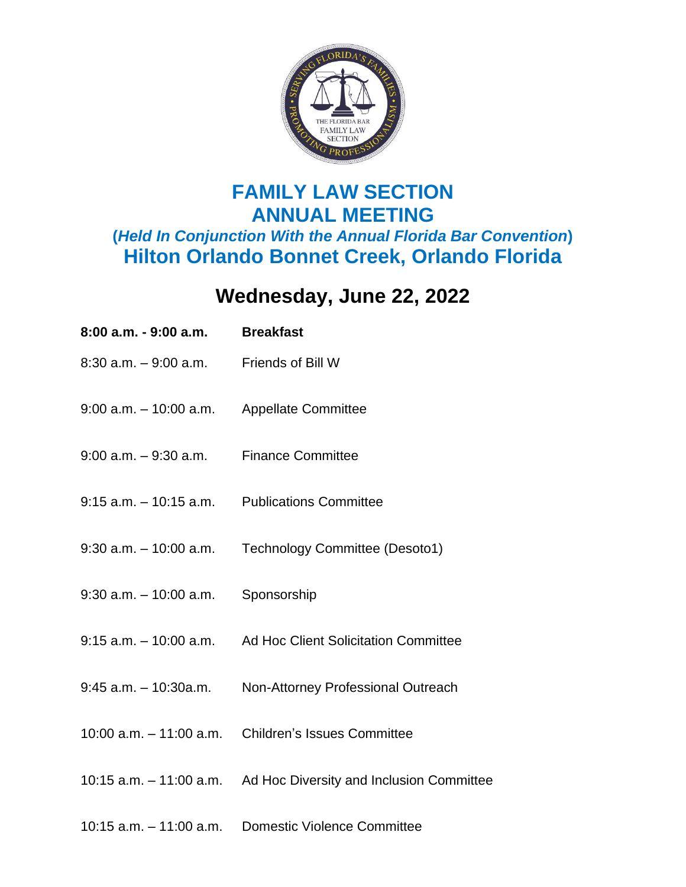

## **FAMILY LAW SECTION ANNUAL MEETING (***Held In Conjunction With the Annual Florida Bar Convention***) Hilton Orlando Bonnet Creek, Orlando Florida**

## **Wednesday, June 22, 2022**

| 8:00 a.m. - 9:00 a.m.                         | <b>Breakfast</b>                                                 |
|-----------------------------------------------|------------------------------------------------------------------|
| $8:30$ a.m. $-9:00$ a.m. Friends of Bill W    |                                                                  |
| 9:00 a.m. - 10:00 a.m. Appellate Committee    |                                                                  |
| $9:00$ a.m. $-9:30$ a.m. Finance Committee    |                                                                  |
| 9:15 a.m. - 10:15 a.m. Publications Committee |                                                                  |
|                                               | 9:30 a.m. - 10:00 a.m. Technology Committee (Desoto1)            |
| $9:30$ a.m. $-10:00$ a.m. Sponsorship         |                                                                  |
|                                               | 9:15 a.m. - 10:00 a.m. Ad Hoc Client Solicitation Committee      |
| $9:45$ a.m. $-10:30$ a.m.                     | Non-Attorney Professional Outreach                               |
|                                               | 10:00 a.m. - 11:00 a.m. Children's Issues Committee              |
|                                               | 10:15 a.m. - 11:00 a.m. Ad Hoc Diversity and Inclusion Committee |
|                                               |                                                                  |

10:15 a.m. – 11:00 a.m. Domestic Violence Committee